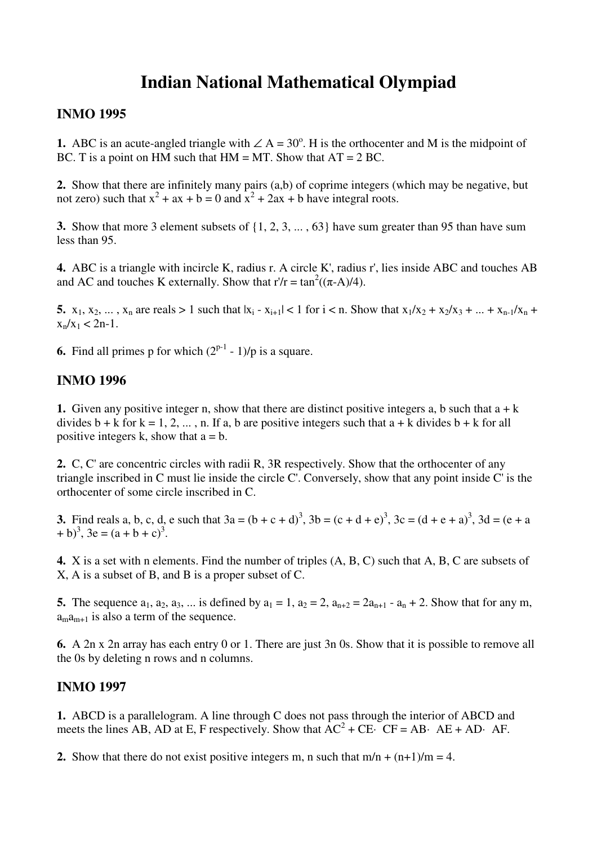# **Indian National Mathematical Olympiad**

### **INMO 1995**

**1.** ABC is an acute-angled triangle with  $\angle A = 30^\circ$ . H is the orthocenter and M is the midpoint of BC. T is a point on HM such that  $HM = MT$ . Show that  $AT = 2 BC$ .

**2.** Show that there are infinitely many pairs (a,b) of coprime integers (which may be negative, but not zero) such that  $x^2 + ax + b = 0$  and  $x^2 + 2ax + b$  have integral roots.

**3.** Show that more 3 element subsets of {1, 2, 3, ... , 63} have sum greater than 95 than have sum less than 95.

**4.** ABC is a triangle with incircle K, radius r. A circle K', radius r', lies inside ABC and touches AB and AC and touches K externally. Show that  $r/r = \tan^2((\pi - A)/4)$ .

**5.**  $x_1, x_2, ..., x_n$  are reals > 1 such that  $|x_i - x_{i+1}| < 1$  for  $i < n$ . Show that  $x_1/x_2 + x_2/x_3 + ... + x_{n-1}/x_n$  +  $x_n/x_1 < 2n-1$ .

**6.** Find all primes p for which  $(2^{p-1} - 1)/p$  is a square.

# **INMO 1996**

**1.** Given any positive integer n, show that there are distinct positive integers a, b such that  $a + k$ divides  $b + k$  for  $k = 1, 2, ..., n$ . If a, b are positive integers such that  $a + k$  divides  $b + k$  for all positive integers k, show that  $a = b$ .

**2.** C, C' are concentric circles with radii R, 3R respectively. Show that the orthocenter of any triangle inscribed in C must lie inside the circle C'. Conversely, show that any point inside C' is the orthocenter of some circle inscribed in C.

**3.** Find reals a, b, c, d, e such that  $3a = (b + c + d)^3$ ,  $3b = (c + d + e)^3$ ,  $3c = (d + e + a)^3$ ,  $3d = (e + a)^3$  $(a + b)^3$ ,  $3e = (a + b + c)^3$ .

**4.** X is a set with n elements. Find the number of triples (A, B, C) such that A, B, C are subsets of X, A is a subset of B, and B is a proper subset of C.

**5.** The sequence  $a_1, a_2, a_3, ...$  is defined by  $a_1 = 1$ ,  $a_2 = 2$ ,  $a_{n+2} = 2a_{n+1} - a_n + 2$ . Show that for any m,  $a_{m+1}$  is also a term of the sequence.

**6.** A 2n x 2n array has each entry 0 or 1. There are just 3n 0s. Show that it is possible to remove all the 0s by deleting n rows and n columns.

# **INMO 1997**

**1.** ABCD is a parallelogram. A line through C does not pass through the interior of ABCD and meets the lines AB, AD at E, F respectively. Show that  $AC^2 + CE \cdot CF = AB \cdot AE + AD \cdot AF$ .

**2.** Show that there do not exist positive integers m, n such that  $m/n + (n+1)/m = 4$ .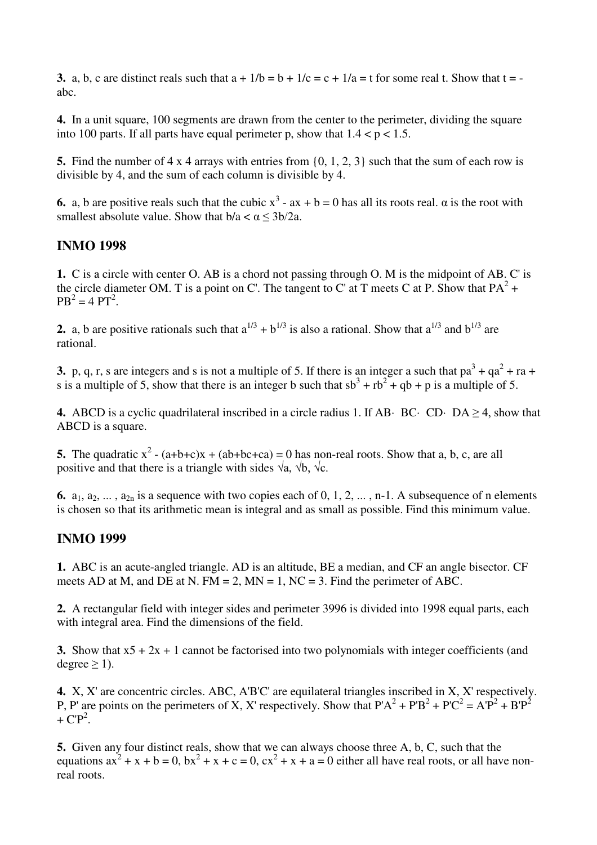**3.** a, b, c are distinct reals such that  $a + 1/b = b + 1/c = c + 1/a = t$  for some real t. Show that  $t =$ abc.

**4.** In a unit square, 100 segments are drawn from the center to the perimeter, dividing the square into 100 parts. If all parts have equal perimeter p, show that  $1.4 < p < 1.5$ .

**5.** Find the number of 4 x 4 arrays with entries from {0, 1, 2, 3} such that the sum of each row is divisible by 4, and the sum of each column is divisible by 4.

**6.** a, b are positive reals such that the cubic  $x^3$  -  $ax + b = 0$  has all its roots real.  $\alpha$  is the root with smallest absolute value. Show that  $b/a < \alpha < 3b/2a$ .

#### **INMO 1998**

**1.** C is a circle with center O. AB is a chord not passing through O. M is the midpoint of AB. C' is the circle diameter OM. T is a point on C'. The tangent to C' at T meets C at P. Show that  $PA^2 +$  $PB^{2} = 4 PT^{2}$ .

**2.** a, b are positive rationals such that  $a^{1/3} + b^{1/3}$  is also a rational. Show that  $a^{1/3}$  and  $b^{1/3}$  are rational.

**3.** p, q, r, s are integers and s is not a multiple of 5. If there is an integer a such that  $pa^3 + qa^2 + ra +$ s is a multiple of 5, show that there is an integer b such that  $sb^3 + rb^2 + qb + p$  is a multiple of 5.

**4.** ABCD is a cyclic quadrilateral inscribed in a circle radius 1. If AB· BC· CD· DA  $\geq$  4, show that ABCD is a square.

**5.** The quadratic  $x^2 - (a+b+c)x + (ab+bc+ca) = 0$  has non-real roots. Show that a, b, c, are all positive and that there is a triangle with sides  $\sqrt{a}$ ,  $\sqrt{b}$ ,  $\sqrt{c}$ .

**6.**  $a_1, a_2, \ldots, a_{2n}$  is a sequence with two copies each of 0, 1, 2,  $\ldots$ , n-1. A subsequence of n elements is chosen so that its arithmetic mean is integral and as small as possible. Find this minimum value.

#### **INMO 1999**

**1.** ABC is an acute-angled triangle. AD is an altitude, BE a median, and CF an angle bisector. CF meets AD at M, and DE at N. FM = 2, MN = 1, NC = 3. Find the perimeter of ABC.

**2.** A rectangular field with integer sides and perimeter 3996 is divided into 1998 equal parts, each with integral area. Find the dimensions of the field.

**3.** Show that  $x5 + 2x + 1$  cannot be factorised into two polynomials with integer coefficients (and degree  $\geq$  1).

**4.** X, X' are concentric circles. ABC, A'B'C' are equilateral triangles inscribed in X, X' respectively. P, P' are points on the perimeters of X, X' respectively. Show that  $P'A^2 + P'B^2 + P'C^2 = A'P^2 + B'P^2$ +  $\mathbf{CP}^2$ .

**5.** Given any four distinct reals, show that we can always choose three A, b, C, such that the equations  $ax^2 + x + b = 0$ ,  $bx^2 + x + c = 0$ ,  $cx^2 + x + a = 0$  either all have real roots, or all have nonreal roots.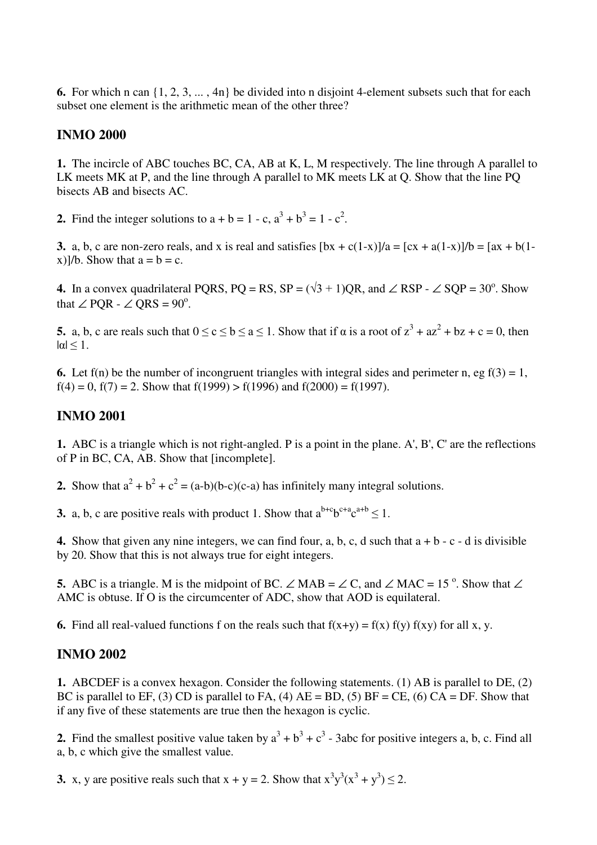**6.** For which n can {1, 2, 3, ... , 4n} be divided into n disjoint 4-element subsets such that for each subset one element is the arithmetic mean of the other three?

#### **INMO 2000**

**1.** The incircle of ABC touches BC, CA, AB at K, L, M respectively. The line through A parallel to LK meets MK at P, and the line through A parallel to MK meets LK at Q. Show that the line PQ bisects AB and bisects AC.

**2.** Find the integer solutions to  $a + b = 1 - c$ ,  $a^3 + b^3 = 1 - c^2$ .

**3.** a, b, c are non-zero reals, and x is real and satisfies  $[bx + c(1-x)]/a = [cx + a(1-x)]/b = [ax + b(1-x)]/b$ x)]/b. Show that  $a = b = c$ .

**4.** In a convex quadrilateral PQRS, PQ = RS, SP =  $(\sqrt{3} + 1)$ QR, and ∠ RSP - ∠ SQP = 30<sup>o</sup>. Show that  $\angle$  PQR -  $\angle$  QRS = 90<sup>o</sup>.

**5.** a, b, c are reals such that  $0 \le c \le b \le a \le 1$ . Show that if  $\alpha$  is a root of  $z^3 + az^2 + bz + c = 0$ , then  $|\alpha| \leq 1$ .

**6.** Let  $f(n)$  be the number of incongruent triangles with integral sides and perimeter n, eg  $f(3) = 1$ , f(4) = 0, f(7) = 2. Show that f(1999) > f(1996) and f(2000) = f(1997).

## **INMO 2001**

**1.** ABC is a triangle which is not right-angled. P is a point in the plane. A', B', C' are the reflections of P in BC, CA, AB. Show that [incomplete].

**2.** Show that  $a^2 + b^2 + c^2 = (a-b)(b-c)(c-a)$  has infinitely many integral solutions.

**3.** a, b, c are positive reals with product 1. Show that  $a^{b+c}b^{c+a}c^{a+b} \le 1$ .

**4.** Show that given any nine integers, we can find four, a, b, c, d such that  $a + b - c - d$  is divisible by 20. Show that this is not always true for eight integers.

**5.** ABC is a triangle. M is the midpoint of BC. ∠ MAB =  $\angle$  C, and  $\angle$  MAC = 15<sup>o</sup>. Show that  $\angle$ AMC is obtuse. If O is the circumcenter of ADC, show that AOD is equilateral.

**6.** Find all real-valued functions f on the reals such that  $f(x+y) = f(x) f(y) f(xy)$  for all x, y.

#### **INMO 2002**

**1.** ABCDEF is a convex hexagon. Consider the following statements. (1) AB is parallel to DE, (2) BC is parallel to EF, (3) CD is parallel to FA, (4)  $AE = BD$ , (5)  $BF = CE$ , (6)  $CA = DF$ . Show that if any five of these statements are true then the hexagon is cyclic.

**2.** Find the smallest positive value taken by  $a^3 + b^3 + c^3$  - 3abc for positive integers a, b, c. Find all a, b, c which give the smallest value.

**3.** x, y are positive reals such that  $x + y = 2$ . Show that  $x^3y^3(x^3 + y^3) \le 2$ .